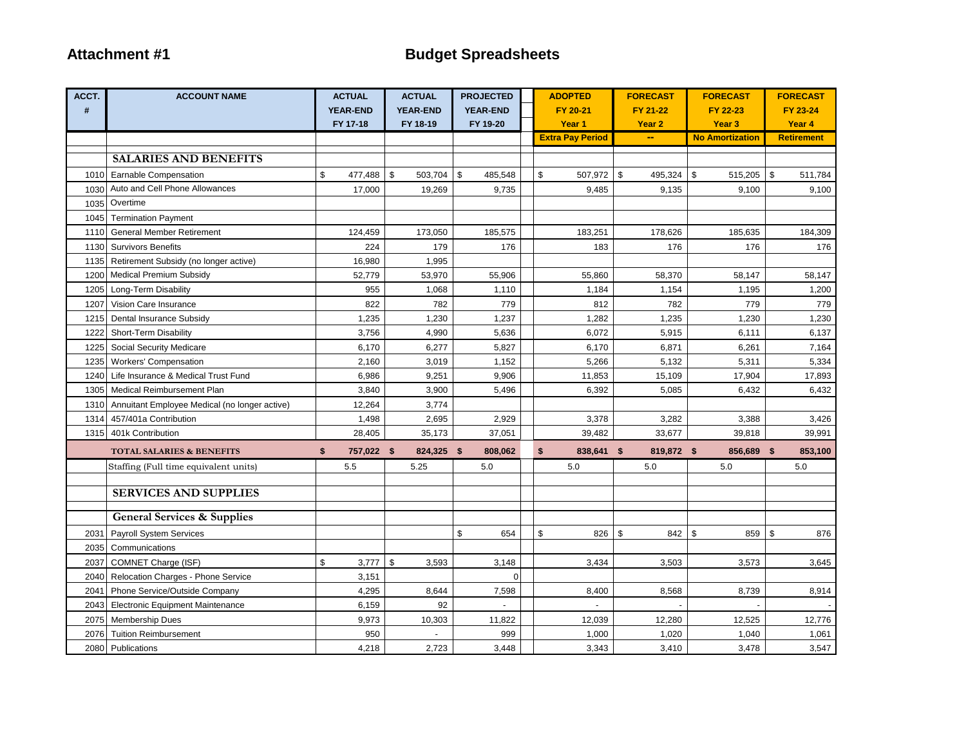| ACCT. | <b>ACCOUNT NAME</b>                           | <b>ACTUAL</b>    | <b>ACTUAL</b>   | <b>PROJECTED</b> | <b>ADOPTED</b>          | <b>FORECAST</b>   | <b>FORECAST</b>        |              | <b>FORECAST</b>   |
|-------|-----------------------------------------------|------------------|-----------------|------------------|-------------------------|-------------------|------------------------|--------------|-------------------|
| #     |                                               | <b>YEAR-END</b>  | <b>YEAR-END</b> | <b>YEAR-END</b>  | FY 20-21                | FY 21-22          | FY 22-23               |              | FY 23-24          |
|       |                                               | FY 17-18         | FY 18-19        | FY 19-20         | Year 1                  | Year <sub>2</sub> | Year <sub>3</sub>      |              | Year 4            |
|       |                                               |                  |                 |                  | <b>Extra Pay Period</b> |                   | <b>No Amortization</b> |              | <b>Retirement</b> |
|       | <b>SALARIES AND BENEFITS</b>                  |                  |                 |                  |                         |                   |                        |              |                   |
| 1010  | Earnable Compensation                         | \$<br>477,488 \$ | 503,704         | \$<br>485,548    | \$<br>507,972           | \$<br>495,324     | \$<br>515,205          | $\mathbf{s}$ | 511,784           |
| 1030  | Auto and Cell Phone Allowances                | 17,000           | 19,269          | 9,735            | 9,485                   | 9,135             | 9,100                  |              | 9,100             |
| 1035  | Overtime                                      |                  |                 |                  |                         |                   |                        |              |                   |
| 1045  | <b>Termination Payment</b>                    |                  |                 |                  |                         |                   |                        |              |                   |
| 1110  | <b>General Member Retirement</b>              | 124,459          | 173,050         | 185,575          | 183,251                 | 178,626           | 185,635                |              | 184,309           |
| 1130  | <b>Survivors Benefits</b>                     | 224              | 179             | 176              | 183                     | 176               | 176                    |              | 176               |
| 1135  | Retirement Subsidy (no longer active)         | 16,980           | 1,995           |                  |                         |                   |                        |              |                   |
| 1200  | <b>Medical Premium Subsidy</b>                | 52,779           | 53,970          | 55,906           | 55,860                  | 58,370            | 58,147                 |              | 58,147            |
| 1205  | Long-Term Disability                          | 955              | 1,068           | 1,110            | 1,184                   | 1,154             | 1,195                  |              | 1,200             |
| 1207  | Vision Care Insurance                         | 822              | 782             | 779              | 812                     | 782               | 779                    |              | 779               |
| 1215  | Dental Insurance Subsidy                      | 1,235            | 1,230           | 1,237            | 1,282                   | 1,235             | 1,230                  |              | 1,230             |
| 1222  | Short-Term Disability                         | 3,756            | 4,990           | 5,636            | 6,072                   | 5,915             | 6,111                  |              | 6,137             |
| 1225  | Social Security Medicare                      | 6,170            | 6,277           | 5,827            | 6,170                   | 6,871             | 6,261                  |              | 7,164             |
| 1235  | <b>Workers' Compensation</b>                  | 2,160            | 3,019           | 1,152            | 5,266                   | 5,132             | 5,311                  |              | 5,334             |
| 1240  | Life Insurance & Medical Trust Fund           | 6,986            | 9,251           | 9,906            | 11,853                  | 15,109            | 17,904                 |              | 17,893            |
| 1305  | <b>Medical Reimbursement Plan</b>             | 3,840            | 3,900           | 5,496            | 6,392                   | 5,085             | 6,432                  |              | 6,432             |
| 1310  | Annuitant Employee Medical (no longer active) | 12,264           | 3,774           |                  |                         |                   |                        |              |                   |
| 1314  | 457/401a Contribution                         | 1,498            | 2,695           | 2,929            | 3,378                   | 3,282             | 3,388                  |              | 3,426             |
| 1315  | 401k Contribution                             | 28,405           | 35,173          | 37,051           | 39,482                  | 33,677            | 39,818                 |              | 39,991            |
|       | <b>TOTAL SALARIES &amp; BENEFITS</b>          | \$<br>757,022 \$ | 824,325 \$      | 808,062          | \$<br>838,641 \$        | 819,872 \$        | 856,689 \$             |              | 853,100           |
|       | Staffing (Full time equivalent units)         | 5.5              | 5.25            | 5.0              | 5.0                     | 5.0               | 5.0                    |              | 5.0               |
|       |                                               |                  |                 |                  |                         |                   |                        |              |                   |
|       | <b>SERVICES AND SUPPLIES</b>                  |                  |                 |                  |                         |                   |                        |              |                   |
|       | <b>General Services &amp; Supplies</b>        |                  |                 |                  |                         |                   |                        |              |                   |
| 2031  | <b>Payroll System Services</b>                |                  |                 | \$<br>654        | \$<br>826               | \$<br>842         | \$<br>859              | $\sqrt{3}$   | 876               |
| 2035  | Communications                                |                  |                 |                  |                         |                   |                        |              |                   |
| 2037  | COMNET Charge (ISF)                           | \$<br>3,777      | \$<br>3,593     | 3,148            | 3,434                   | 3,503             | 3,573                  |              | 3,645             |
| 2040  | Relocation Charges - Phone Service            | 3,151            |                 | $\Omega$         |                         |                   |                        |              |                   |
| 2041  | Phone Service/Outside Company                 | 4,295            | 8,644           | 7,598            | 8,400                   | 8,568             | 8,739                  |              | 8,914             |
| 2043  | <b>Electronic Equipment Maintenance</b>       | 6,159            | 92              |                  |                         |                   |                        |              |                   |
| 2075  | <b>Membership Dues</b>                        | 9,973            | 10,303          | 11,822           | 12,039                  | 12,280            | 12,525                 |              | 12,776            |
| 2076  | <b>Tuition Reimbursement</b>                  | 950              |                 | 999              | 1,000                   | 1,020             | 1,040                  |              | 1,061             |
|       | 2080 Publications                             | 4,218            | 2,723           | 3,448            | 3,343                   | 3,410             | 3,478                  |              | 3,547             |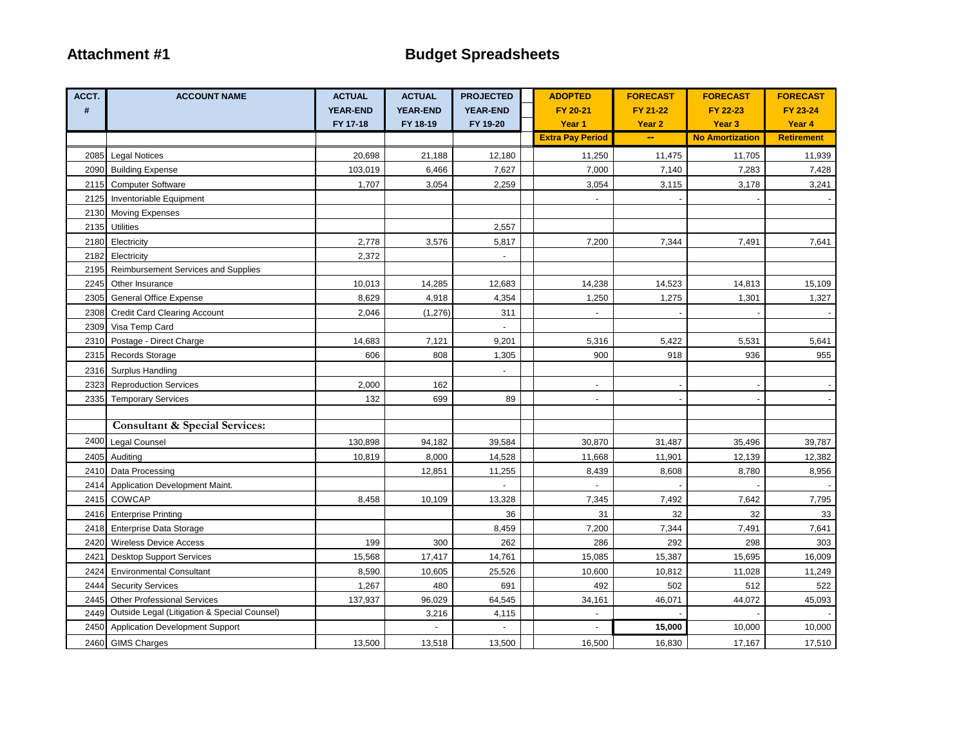| ACCT. | <b>ACCOUNT NAME</b>                          | <b>ACTUAL</b>   | <b>ACTUAL</b>   | <b>PROJECTED</b>      | <b>ADOPTED</b>           | <b>FORECAST</b>   | <b>FORECAST</b>        | <b>FORECAST</b>   |
|-------|----------------------------------------------|-----------------|-----------------|-----------------------|--------------------------|-------------------|------------------------|-------------------|
| #     |                                              | <b>YEAR-END</b> | <b>YEAR-END</b> | <b>YEAR-END</b>       | FY 20-21                 | FY 21-22          | FY 22-23               | FY 23-24          |
|       |                                              | FY 17-18        | FY 18-19        | FY 19-20              | Year <sub>1</sub>        | Year <sub>2</sub> | Year <sub>3</sub>      | Year 4            |
|       |                                              |                 |                 |                       | <b>Extra Pay Period</b>  | --                | <b>No Amortization</b> | <b>Retirement</b> |
|       | 2085 Legal Notices                           | 20,698          | 21,188          | 12,180                | 11,250                   | 11,475            | 11,705                 | 11,939            |
|       | 2090 Building Expense                        | 103,019         | 6,466           | 7,627                 | 7,000                    | 7,140             | 7,283                  | 7,428             |
|       | 2115 Computer Software                       | 1,707           | 3,054           | 2,259                 | 3,054                    | 3,115             | 3,178                  | 3,241             |
| 2125  | Inventoriable Equipment                      |                 |                 |                       |                          |                   |                        |                   |
| 2130  | <b>Moving Expenses</b>                       |                 |                 |                       |                          |                   |                        |                   |
| 2135  | <b>Utilities</b>                             |                 |                 | 2,557                 |                          |                   |                        |                   |
| 2180  | Electricity                                  | 2,778           | 3,576           | 5,817                 | 7,200                    | 7,344             | 7,491                  | 7,641             |
| 2182  | Electricity                                  | 2,372           |                 | $\blacksquare$        |                          |                   |                        |                   |
| 2195  | Reimbursement Services and Supplies          |                 |                 |                       |                          |                   |                        |                   |
| 2245  | Other Insurance                              | 10,013          | 14,285          | 12,683                | 14,238                   | 14,523            | 14,813                 | 15,109            |
|       | 2305 General Office Expense                  | 8,629           | 4,918           | 4,354                 | 1,250                    | 1,275             | 1,301                  | 1,327             |
| 2308  | <b>Credit Card Clearing Account</b>          | 2,046           | (1, 276)        | 311                   |                          |                   |                        |                   |
| 2309  | Visa Temp Card                               |                 |                 |                       |                          |                   |                        |                   |
| 2310  | Postage - Direct Charge                      | 14,683          | 7,121           | 9,201                 | 5,316                    | 5,422             | 5,531                  | 5,641             |
| 2315  | <b>Records Storage</b>                       | 606             | 808             | 1,305                 | 900                      | 918               | 936                    | 955               |
| 2316  | Surplus Handling                             |                 |                 | $\tilde{\phantom{a}}$ |                          |                   |                        |                   |
| 2323  | <b>Reproduction Services</b>                 | 2,000           | 162             |                       | $\blacksquare$           |                   |                        |                   |
| 2335  | <b>Temporary Services</b>                    | 132             | 699             | 89                    | $\overline{\phantom{a}}$ |                   |                        |                   |
|       |                                              |                 |                 |                       |                          |                   |                        |                   |
|       | <b>Consultant &amp; Special Services:</b>    |                 |                 |                       |                          |                   |                        |                   |
| 2400  | Legal Counsel                                | 130,898         | 94,182          | 39,584                | 30,870                   | 31,487            | 35,496                 | 39,787            |
| 2405  | Auditing                                     | 10,819          | 8,000           | 14,528                | 11,668                   | 11,901            | 12,139                 | 12,382            |
|       | 2410 Data Processing                         |                 | 12,851          | 11,255                | 8,439                    | 8,608             | 8,780                  | 8,956             |
|       | 2414 Application Development Maint.          |                 |                 |                       |                          |                   |                        |                   |
| 2415  | COWCAP                                       | 8,458           | 10,109          | 13,328                | 7,345                    | 7,492             | 7,642                  | 7,795             |
| 2416  | <b>Enterprise Printing</b>                   |                 |                 | 36                    | 31                       | 32                | 32                     | 33                |
| 2418  | <b>Enterprise Data Storage</b>               |                 |                 | 8,459                 | 7,200                    | 7,344             | 7,491                  | 7,641             |
| 2420  | <b>Wireless Device Access</b>                | 199             | 300             | 262                   | 286                      | 292               | 298                    | 303               |
| 2421  | <b>Desktop Support Services</b>              | 15,568          | 17,417          | 14,761                | 15,085                   | 15,387            | 15,695                 | 16,009            |
| 2424  | <b>Environmental Consultant</b>              | 8,590           | 10,605          | 25,526                | 10,600                   | 10,812            | 11,028                 | 11,249            |
| 2444  | <b>Security Services</b>                     | 1,267           | 480             | 691                   | 492                      | 502               | 512                    | 522               |
| 2445  | <b>Other Professional Services</b>           | 137,937         | 96,029          | 64,545                | 34,161                   | 46,071            | 44,072                 | 45,093            |
| 2449  | Outside Legal (Litigation & Special Counsel) |                 | 3,216           | 4,115                 |                          |                   |                        |                   |
| 2450  | <b>Application Development Support</b>       |                 |                 |                       | $\sim$                   | 15,000            | 10,000                 | 10,000            |
|       | 2460 GIMS Charges                            | 13,500          | 13,518          | 13,500                | 16,500                   | 16,830            | 17,167                 | 17,510            |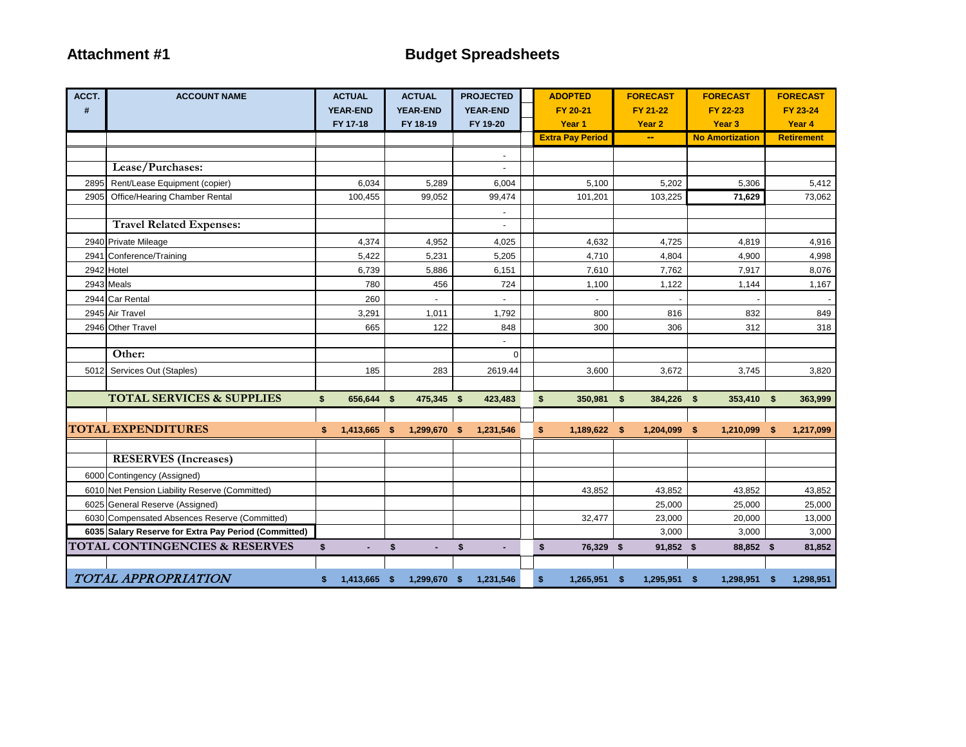| ACCT. | <b>ACCOUNT NAME</b>                                  | <b>ACTUAL</b>      | <b>ACTUAL</b>   | <b>PROJECTED</b>     | <b>ADOPTED</b>          | <b>FORECAST</b>          | <b>FORECAST</b>        |      | <b>FORECAST</b>   |
|-------|------------------------------------------------------|--------------------|-----------------|----------------------|-------------------------|--------------------------|------------------------|------|-------------------|
| $\#$  |                                                      | <b>YEAR-END</b>    | <b>YEAR-END</b> | <b>YEAR-END</b>      | FY 20-21                | FY 21-22                 | FY 22-23               |      | FY 23-24          |
|       |                                                      | FY 17-18           | FY 18-19        | FY 19-20             | Year <sub>1</sub>       | Year <sub>2</sub>        | Year <sub>3</sub>      |      | Year 4            |
|       |                                                      |                    |                 |                      | <b>Extra Pay Period</b> | $\overline{\phantom{a}}$ | <b>No Amortization</b> |      | <b>Retirement</b> |
|       |                                                      |                    |                 |                      |                         |                          |                        |      |                   |
|       | Lease/Purchases:                                     |                    |                 |                      |                         |                          |                        |      |                   |
| 2895  | Rent/Lease Equipment (copier)                        | 6,034              | 5,289           | 6,004                | 5,100                   | 5,202                    | 5,306                  |      | 5,412             |
| 2905  | Office/Hearing Chamber Rental                        | 100,455            | 99,052          | 99,474               | 101,201                 | 103,225                  | 71,629                 |      | 73,062            |
|       |                                                      |                    |                 | $\blacksquare$       |                         |                          |                        |      |                   |
|       | <b>Travel Related Expenses:</b>                      |                    |                 |                      |                         |                          |                        |      |                   |
|       | 2940 Private Mileage                                 | 4,374              | 4,952           | 4,025                | 4,632                   | 4,725                    | 4,819                  |      | 4,916             |
|       | 2941 Conference/Training                             | 5,422              | 5,231           | 5,205                | 4,710                   | 4,804                    | 4,900                  |      | 4,998             |
|       | 2942 Hotel                                           | 6,739              | 5,886           | 6,151                | 7,610                   | 7,762                    | 7,917                  |      | 8,076             |
|       | 2943 Meals                                           | 780                | 456             | 724                  | 1,100                   | 1,122                    | 1,144                  |      | 1,167             |
|       | 2944 Car Rental                                      | 260                |                 |                      |                         |                          |                        |      |                   |
|       | 2945 Air Travel                                      | 3,291              | 1,011           | 1,792                | 800                     | 816                      | 832                    |      | 849               |
|       | 2946 Other Travel                                    | 665                | 122             | 848                  | 300                     | 306                      | 312                    |      | 318               |
|       |                                                      |                    |                 |                      |                         |                          |                        |      |                   |
|       | Other:                                               |                    |                 | $\Omega$             |                         |                          |                        |      |                   |
|       | 5012 Services Out (Staples)                          | 185                | 283             | 2619.44              | 3,600                   | 3,672                    | 3,745                  |      | 3,820             |
|       |                                                      |                    |                 |                      |                         |                          |                        |      |                   |
|       | <b>TOTAL SERVICES &amp; SUPPLIES</b>                 | \$<br>656,644 \$   | 475,345 \$      | 423,483              | \$<br>350,981 \$        | 384,226 \$               | 353,410 \$             |      | 363,999           |
|       |                                                      |                    |                 |                      |                         |                          |                        |      |                   |
|       | <b>TOTAL EXPENDITURES</b>                            | \$<br>1,413,665 \$ | 1,299,670 \$    | 1,231,546            | \$<br>1,189,622 \$      | 1,204,099 \$             | 1,210,099              | -\$  | 1,217,099         |
|       |                                                      |                    |                 |                      |                         |                          |                        |      |                   |
|       | <b>RESERVES</b> (Increases)                          |                    |                 |                      |                         |                          |                        |      |                   |
|       | 6000 Contingency (Assigned)                          |                    |                 |                      |                         |                          |                        |      |                   |
|       | 6010 Net Pension Liability Reserve (Committed)       |                    |                 |                      | 43,852                  | 43,852                   | 43,852                 |      | 43,852            |
|       | 6025 General Reserve (Assigned)                      |                    |                 |                      |                         | 25,000                   | 25,000                 |      | 25,000            |
|       | 6030 Compensated Absences Reserve (Committed)        |                    |                 |                      | 32,477                  | 23,000                   | 20,000                 |      | 13,000            |
|       | 6035 Salary Reserve for Extra Pay Period (Committed) |                    |                 |                      |                         | 3,000                    | 3,000                  |      | 3,000             |
|       | <b>TOTAL CONTINGENCIES &amp; RESERVES</b>            | \$<br>ä,           | \$<br>٠         | \$<br>$\blacksquare$ | \$<br>76,329 \$         | 91,852 \$                | 88,852 \$              |      | 81,852            |
|       |                                                      |                    |                 |                      |                         |                          |                        |      |                   |
|       | TOTAL APPROPRIATION                                  | \$<br>1,413,665 \$ | 1,299,670 \$    | 1,231,546            | \$<br>1,265,951 \$      | 1,295,951 \$             | 1,298,951              | - \$ | 1,298,951         |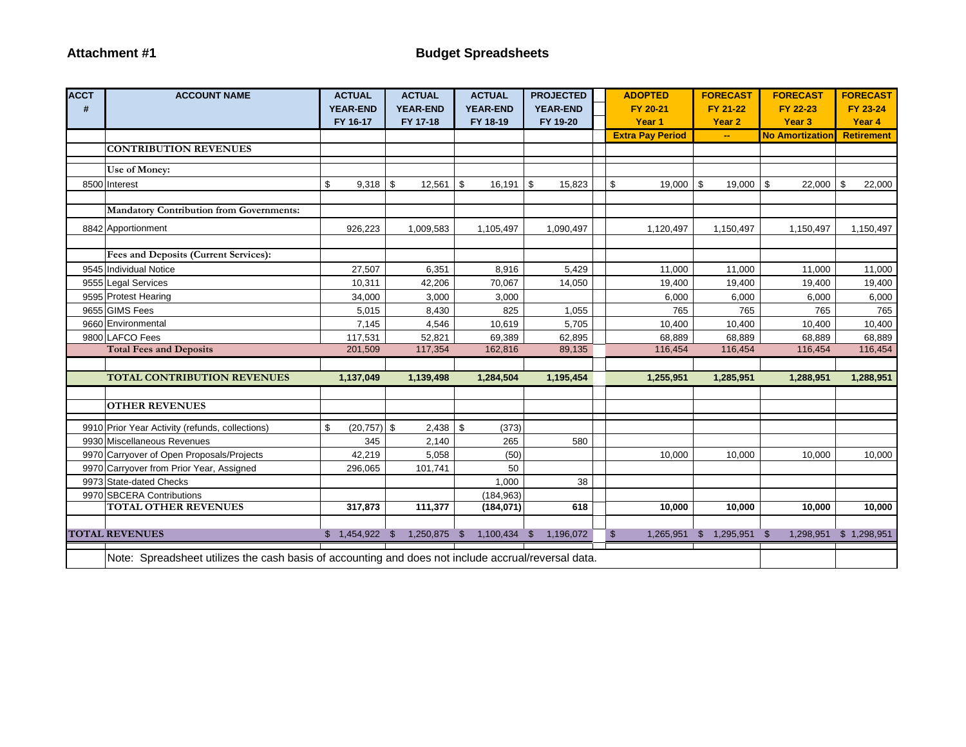| <b>ACCT</b> | <b>ACCOUNT NAME</b>                                                                                 | <b>ACTUAL</b>         | <b>ACTUAL</b>   | <b>ACTUAL</b>    | <b>PROJECTED</b> | <b>ADOPTED</b>          | <b>FORECAST</b>   | <b>FORECAST</b>        | <b>FORECAST</b>   |
|-------------|-----------------------------------------------------------------------------------------------------|-----------------------|-----------------|------------------|------------------|-------------------------|-------------------|------------------------|-------------------|
| #           |                                                                                                     | <b>YEAR-END</b>       | <b>YEAR-END</b> | <b>YEAR-END</b>  | <b>YEAR-END</b>  | FY 20-21                | FY 21-22          | FY 22-23               | FY 23-24          |
|             |                                                                                                     | FY 16-17              | FY 17-18        | FY 18-19         | FY 19-20         | Year 1                  | Year <sub>2</sub> | Year <sub>3</sub>      | Year 4            |
|             |                                                                                                     |                       |                 |                  |                  | <b>Extra Pay Period</b> | ÷.                | <b>No Amortization</b> | <b>Retirement</b> |
|             | <b>CONTRIBUTION REVENUES</b>                                                                        |                       |                 |                  |                  |                         |                   |                        |                   |
|             | Use of Money:                                                                                       |                       |                 |                  |                  |                         |                   |                        |                   |
|             | 8500 Interest                                                                                       | \$<br>$9,318$ \$      | $12,561$ \$     | 16,191           | \$<br>15,823     | \$<br>19,000            | \$<br>$19,000$ \$ | 22,000                 | \$<br>22,000      |
|             |                                                                                                     |                       |                 |                  |                  |                         |                   |                        |                   |
|             | <b>Mandatory Contribution from Governments:</b>                                                     |                       |                 |                  |                  |                         |                   |                        |                   |
|             | 8842 Apportionment                                                                                  | 926,223               | 1,009,583       | 1,105,497        | 1,090,497        | 1,120,497               | 1,150,497         | 1,150,497              | 1,150,497         |
|             |                                                                                                     |                       |                 |                  |                  |                         |                   |                        |                   |
|             | Fees and Deposits (Current Services):                                                               |                       |                 |                  |                  |                         |                   |                        |                   |
|             | 9545 Individual Notice                                                                              | 27,507                | 6,351           | 8,916            | 5,429            | 11,000                  | 11,000            | 11,000                 | 11,000            |
|             | 9555 Legal Services                                                                                 | 10,311                | 42,206          | 70,067           | 14,050           | 19,400                  | 19,400            | 19,400                 | 19,400            |
|             | 9595 Protest Hearing                                                                                | 34,000                | 3,000           | 3,000            |                  | 6,000                   | 6,000             | 6,000                  | 6,000             |
|             | 9655 GIMS Fees                                                                                      | 5,015                 | 8,430           | 825              | 1,055            | 765                     | 765               | 765                    | 765               |
|             | 9660 Environmental                                                                                  | 7,145                 | 4,546           | 10,619           | 5,705            | 10,400                  | 10,400            | 10,400                 | 10,400            |
|             | 9800 LAFCO Fees                                                                                     | 117,531               | 52,821          | 69,389           | 62,895           | 68,889                  | 68,889            | 68,889                 | 68,889            |
|             | <b>Total Fees and Deposits</b>                                                                      | 201,509               | 117,354         | 162,816          | 89,135           | 116,454                 | 116,454           | 116,454                | 116,454           |
|             |                                                                                                     |                       |                 |                  |                  |                         |                   |                        |                   |
|             | <b>TOTAL CONTRIBUTION REVENUES</b>                                                                  | 1,137,049             | 1,139,498       | 1,284,504        | 1,195,454        | 1,255,951               | 1,285,951         | 1,288,951              | 1,288,951         |
|             | <b>OTHER REVENUES</b>                                                                               |                       |                 |                  |                  |                         |                   |                        |                   |
|             |                                                                                                     |                       |                 |                  |                  |                         |                   |                        |                   |
|             | 9910 Prior Year Activity (refunds, collections)                                                     | $(20, 757)$ \$<br>\$. | $2,438$ \$      | (373)            |                  |                         |                   |                        |                   |
|             | 9930 Miscellaneous Revenues                                                                         | 345                   | 2,140           | 265              | 580              |                         |                   |                        |                   |
|             | 9970 Carryover of Open Proposals/Projects                                                           | 42,219                | 5,058           | (50)             |                  | 10,000                  | 10,000            | 10,000                 | 10,000            |
|             | 9970 Carryover from Prior Year, Assigned                                                            | 296,065               | 101,741         | 50               |                  |                         |                   |                        |                   |
|             | 9973 State-dated Checks                                                                             |                       |                 | 1,000            | 38               |                         |                   |                        |                   |
|             | 9970 SBCERA Contributions                                                                           |                       |                 | (184, 963)       |                  |                         |                   |                        |                   |
|             | <b>TOTAL OTHER REVENUES</b>                                                                         | 317,873               | 111,377         | (184, 071)       | 618              | 10.000                  | 10,000            | 10.000                 | 10,000            |
|             |                                                                                                     |                       |                 |                  |                  |                         |                   |                        |                   |
|             | <b>TOTAL REVENUES</b>                                                                               | $$1,454,922$ \$       | 1,250,875       | -\$<br>1,100,434 | 1,196,072<br>-\$ | \$<br>1,265,951         | 1,295,951<br>\$   | 1,298,951<br>\$        | \$1,298,951       |
|             | Note: Spreadsheet utilizes the cash basis of accounting and does not include accrual/reversal data. |                       |                 |                  |                  |                         |                   |                        |                   |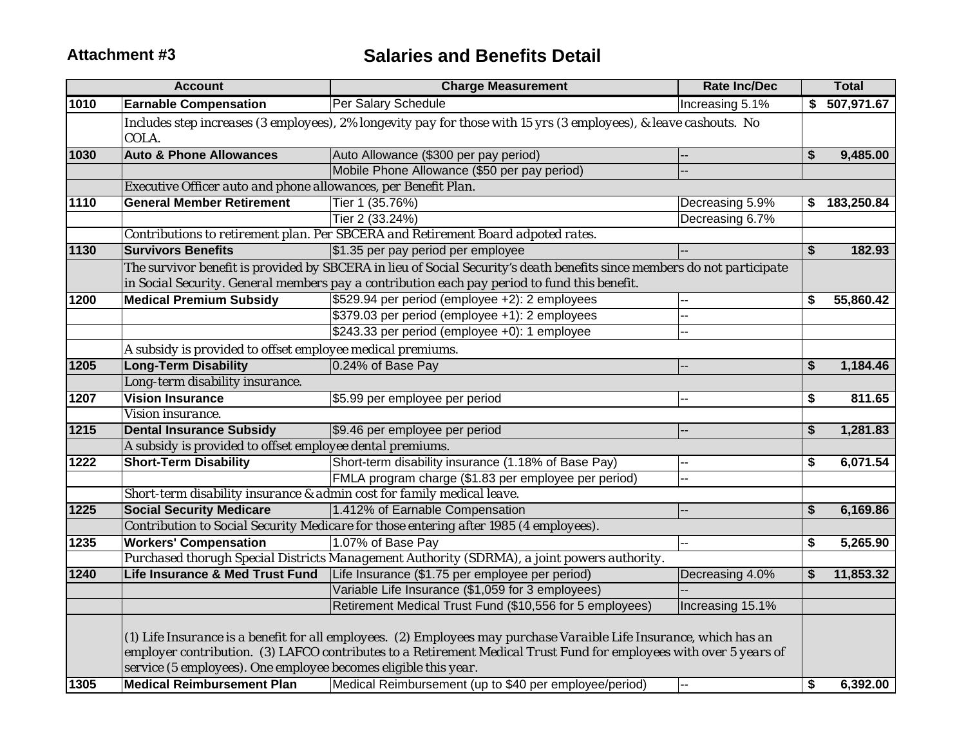# **Attachment #3 Salaries and Benefits Detail**

|      | <b>Account</b>                                                                                       | <b>Charge Measurement</b>                                                                                                                                                                                                                                                                           | <b>Rate Inc/Dec</b> |    | <b>Total</b>  |  |  |  |  |
|------|------------------------------------------------------------------------------------------------------|-----------------------------------------------------------------------------------------------------------------------------------------------------------------------------------------------------------------------------------------------------------------------------------------------------|---------------------|----|---------------|--|--|--|--|
| 1010 | <b>Earnable Compensation</b>                                                                         | Per Salary Schedule                                                                                                                                                                                                                                                                                 | Increasing 5.1%     |    | \$ 507,971.67 |  |  |  |  |
|      | COLA.                                                                                                | Includes step increases (3 employees), 2% longevity pay for those with 15 yrs (3 employees), & leave cashouts. No                                                                                                                                                                                   |                     |    |               |  |  |  |  |
| 1030 | <b>Auto &amp; Phone Allowances</b>                                                                   | Auto Allowance (\$300 per pay period)                                                                                                                                                                                                                                                               |                     | \$ | 9,485.00      |  |  |  |  |
|      |                                                                                                      | Mobile Phone Allowance (\$50 per pay period)                                                                                                                                                                                                                                                        |                     |    |               |  |  |  |  |
|      | Executive Officer auto and phone allowances, per Benefit Plan.                                       |                                                                                                                                                                                                                                                                                                     |                     |    |               |  |  |  |  |
| 1110 | <b>General Member Retirement</b>                                                                     | Tier 1 (35.76%)                                                                                                                                                                                                                                                                                     | Decreasing 5.9%     | \$ | 183,250.84    |  |  |  |  |
|      |                                                                                                      | Tier 2 (33.24%)                                                                                                                                                                                                                                                                                     | Decreasing 6.7%     |    |               |  |  |  |  |
|      |                                                                                                      | Contributions to retirement plan. Per SBCERA and Retirement Board adpoted rates.                                                                                                                                                                                                                    |                     |    |               |  |  |  |  |
| 1130 | <b>Survivors Benefits</b>                                                                            | \$1.35 per pay period per employee                                                                                                                                                                                                                                                                  |                     | \$ | 182.93        |  |  |  |  |
|      |                                                                                                      | The survivor benefit is provided by SBCERA in lieu of Social Security's death benefits since members do not participate                                                                                                                                                                             |                     |    |               |  |  |  |  |
|      | in Social Security. General members pay a contribution each pay period to fund this benefit.         |                                                                                                                                                                                                                                                                                                     |                     |    |               |  |  |  |  |
| 1200 | <b>Medical Premium Subsidy</b>                                                                       | \$529.94 per period (employee +2): 2 employees                                                                                                                                                                                                                                                      | --                  | \$ | 55,860.42     |  |  |  |  |
|      |                                                                                                      | \$379.03 per period (employee +1): 2 employees                                                                                                                                                                                                                                                      | ÷.                  |    |               |  |  |  |  |
|      |                                                                                                      | \$243.33 per period (employee +0): 1 employee                                                                                                                                                                                                                                                       | -−                  |    |               |  |  |  |  |
|      | A subsidy is provided to offset employee medical premiums.                                           |                                                                                                                                                                                                                                                                                                     |                     |    |               |  |  |  |  |
| 1205 | <b>Long-Term Disability</b>                                                                          | 0.24% of Base Pay                                                                                                                                                                                                                                                                                   |                     | \$ | 1,184.46      |  |  |  |  |
|      | Long-term disability insurance.                                                                      |                                                                                                                                                                                                                                                                                                     |                     |    |               |  |  |  |  |
| 1207 | <b>Vision Insurance</b>                                                                              | \$5.99 per employee per period                                                                                                                                                                                                                                                                      | --                  | \$ | 811.65        |  |  |  |  |
|      | Vision insurance.                                                                                    |                                                                                                                                                                                                                                                                                                     |                     |    |               |  |  |  |  |
| 1215 | <b>Dental Insurance Subsidy</b>                                                                      | \$9.46 per employee per period                                                                                                                                                                                                                                                                      |                     | \$ | 1,281.83      |  |  |  |  |
|      | A subsidy is provided to offset employee dental premiums.                                            |                                                                                                                                                                                                                                                                                                     |                     |    |               |  |  |  |  |
| 1222 | <b>Short-Term Disability</b>                                                                         | Short-term disability insurance (1.18% of Base Pay)                                                                                                                                                                                                                                                 | Ξ.                  | \$ | 6,071.54      |  |  |  |  |
|      |                                                                                                      | FMLA program charge (\$1.83 per employee per period)                                                                                                                                                                                                                                                | -−                  |    |               |  |  |  |  |
|      | Short-term disability insurance & admin cost for family medical leave.                               |                                                                                                                                                                                                                                                                                                     |                     |    |               |  |  |  |  |
| 1225 | <b>Social Security Medicare</b>                                                                      | 1.412% of Earnable Compensation                                                                                                                                                                                                                                                                     | --                  | \$ | 6,169.86      |  |  |  |  |
|      |                                                                                                      | Contribution to Social Security Medicare for those entering after 1985 (4 employees).                                                                                                                                                                                                               |                     |    |               |  |  |  |  |
| 1235 | <b>Workers' Compensation</b>                                                                         | 1.07% of Base Pay                                                                                                                                                                                                                                                                                   | --                  | \$ | 5,265.90      |  |  |  |  |
|      |                                                                                                      | Purchased thorugh Special Districts Management Authority (SDRMA), a joint powers authority.                                                                                                                                                                                                         |                     |    |               |  |  |  |  |
| 1240 | <b>Life Insurance &amp; Med Trust Fund</b>                                                           | Life Insurance (\$1.75 per employee per period)                                                                                                                                                                                                                                                     | Decreasing 4.0%     | S  | 11,853.32     |  |  |  |  |
|      |                                                                                                      | Variable Life Insurance (\$1,059 for 3 employees)                                                                                                                                                                                                                                                   |                     |    |               |  |  |  |  |
|      |                                                                                                      | Retirement Medical Trust Fund (\$10,556 for 5 employees)                                                                                                                                                                                                                                            | Increasing 15.1%    |    |               |  |  |  |  |
| 1305 | service (5 employees). One employee becomes eligible this year.<br><b>Medical Reimbursement Plan</b> | (1) Life Insurance is a benefit for all employees. (2) Employees may purchase Varaible Life Insurance, which has an<br>employer contribution. (3) LAFCO contributes to a Retirement Medical Trust Fund for employees with over 5 years of<br>Medical Reimbursement (up to \$40 per employee/period) | $\overline{a}$      | \$ | 6,392.00      |  |  |  |  |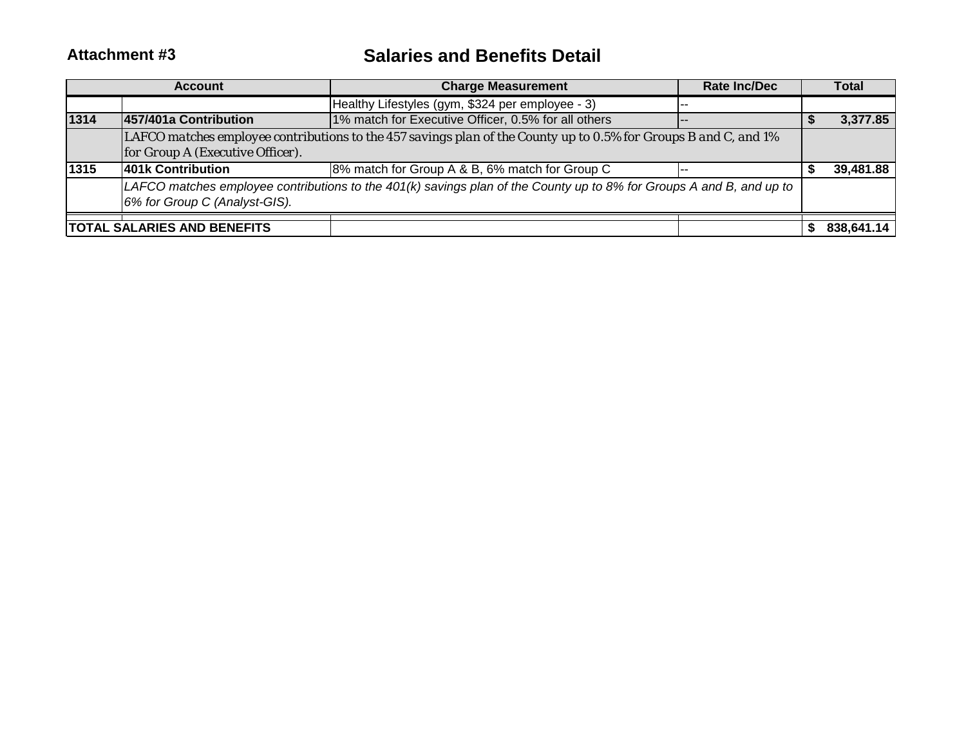#### **Attachment #3 Salaries and Benefits Detail**

|      | <b>Account</b>                     | <b>Charge Measurement</b>                                                                                            | Rate Inc/Dec | <b>Total</b> |
|------|------------------------------------|----------------------------------------------------------------------------------------------------------------------|--------------|--------------|
|      |                                    | Healthy Lifestyles (gym, \$324 per employee - 3)                                                                     | --           |              |
| 1314 | 457/401a Contribution              | 1% match for Executive Officer, 0.5% for all others                                                                  | $- -$        | 3,377.85     |
|      |                                    | LAFCO matches employee contributions to the 457 savings plan of the County up to 0.5% for Groups B and C, and 1%     |              |              |
|      | for Group A (Executive Officer).   |                                                                                                                      |              |              |
| 1315 | 401k Contribution                  | 8% match for Group A & B, 6% match for Group C                                                                       | --           | 39,481.88    |
|      |                                    | LAFCO matches employee contributions to the 401(k) savings plan of the County up to 8% for Groups A and B, and up to |              |              |
|      | 6% for Group C (Analyst-GIS).      |                                                                                                                      |              |              |
|      | <b>TOTAL SALARIES AND BENEFITS</b> |                                                                                                                      |              | 838.641.14   |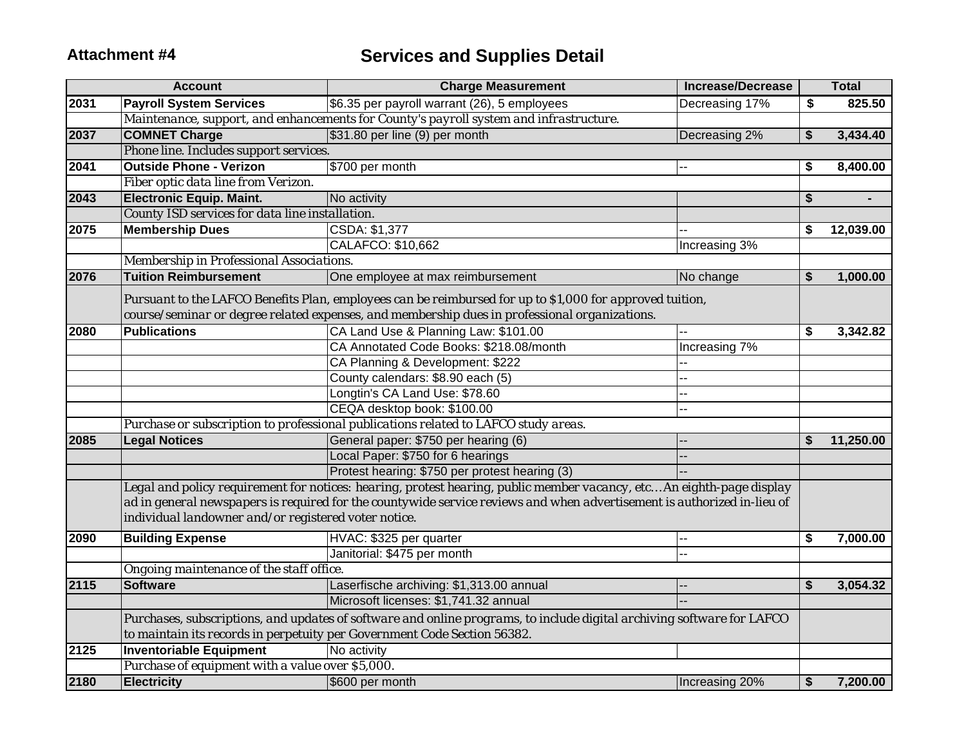|      | <b>Account</b>                                       | <b>Charge Measurement</b>                                                                                                                                                                          | <b>Increase/Decrease</b> | <b>Total</b>         |
|------|------------------------------------------------------|----------------------------------------------------------------------------------------------------------------------------------------------------------------------------------------------------|--------------------------|----------------------|
| 2031 | <b>Payroll System Services</b>                       | \$6.35 per payroll warrant (26), 5 employees                                                                                                                                                       | Decreasing 17%           | \$<br>825.50         |
|      |                                                      | Maintenance, support, and enhancements for County's payroll system and infrastructure.                                                                                                             |                          |                      |
| 2037 | <b>COMNET Charge</b>                                 | \$31.80 per line (9) per month                                                                                                                                                                     | Decreasing 2%            | \$<br>3,434.40       |
|      | Phone line. Includes support services.               |                                                                                                                                                                                                    |                          |                      |
| 2041 | <b>Outside Phone - Verizon</b>                       | \$700 per month                                                                                                                                                                                    |                          | \$<br>8,400.00       |
|      | Fiber optic data line from Verizon.                  |                                                                                                                                                                                                    |                          |                      |
| 2043 | <b>Electronic Equip. Maint.</b>                      | No activity                                                                                                                                                                                        |                          | \$<br>$\blacksquare$ |
|      | County ISD services for data line installation.      |                                                                                                                                                                                                    |                          |                      |
| 2075 | <b>Membership Dues</b>                               | CSDA: \$1,377                                                                                                                                                                                      |                          | \$<br>12,039.00      |
|      |                                                      | CALAFCO: \$10,662                                                                                                                                                                                  | Increasing 3%            |                      |
|      | Membership in Professional Associations.             |                                                                                                                                                                                                    |                          |                      |
| 2076 | <b>Tuition Reimbursement</b>                         | One employee at max reimbursement                                                                                                                                                                  | No change                | \$<br>1,000.00       |
|      |                                                      | Pursuant to the LAFCO Benefits Plan, employees can be reimbursed for up to \$1,000 for approved tuition,                                                                                           |                          |                      |
|      |                                                      | course/seminar or degree related expenses, and membership dues in professional organizations.                                                                                                      |                          |                      |
| 2080 | <b>Publications</b>                                  | CA Land Use & Planning Law: \$101.00                                                                                                                                                               |                          | \$<br>3,342.82       |
|      |                                                      | CA Annotated Code Books: \$218.08/month                                                                                                                                                            | Increasing 7%            |                      |
|      |                                                      | CA Planning & Development: \$222                                                                                                                                                                   |                          |                      |
|      |                                                      | County calendars: \$8.90 each (5)                                                                                                                                                                  |                          |                      |
|      |                                                      | Longtin's CA Land Use: \$78.60                                                                                                                                                                     |                          |                      |
|      |                                                      | CEQA desktop book: \$100.00                                                                                                                                                                        | --                       |                      |
|      |                                                      | Purchase or subscription to professional publications related to LAFCO study areas.                                                                                                                |                          |                      |
| 2085 | <b>Legal Notices</b>                                 | General paper: \$750 per hearing (6)                                                                                                                                                               |                          | \$<br>11,250.00      |
|      |                                                      | Local Paper: \$750 for 6 hearings                                                                                                                                                                  |                          |                      |
|      |                                                      | Protest hearing: \$750 per protest hearing (3)                                                                                                                                                     |                          |                      |
|      |                                                      | Legal and policy requirement for notices: hearing, protest hearing, public member vacancy, etc An eighth-page display                                                                              |                          |                      |
|      | individual landowner and/or registered voter notice. | ad in general newspapers is required for the countywide service reviews and when advertisement is authorized in-lieu of                                                                            |                          |                      |
| 2090 | <b>Building Expense</b>                              | HVAC: \$325 per quarter                                                                                                                                                                            |                          | \$<br>7,000.00       |
|      |                                                      | Janitorial: \$475 per month                                                                                                                                                                        |                          |                      |
|      | Ongoing maintenance of the staff office.             |                                                                                                                                                                                                    |                          |                      |
| 2115 | <b>Software</b>                                      | Laserfische archiving: \$1,313.00 annual                                                                                                                                                           |                          | \$<br>3,054.32       |
|      |                                                      | Microsoft licenses: \$1,741.32 annual                                                                                                                                                              |                          |                      |
|      |                                                      | Purchases, subscriptions, and updates of software and online programs, to include digital archiving software for LAFCO<br>to maintain its records in perpetuity per Government Code Section 56382. |                          |                      |
| 2125 | <b>Inventoriable Equipment</b>                       | No activity                                                                                                                                                                                        |                          |                      |
|      | Purchase of equipment with a value over \$5,000.     |                                                                                                                                                                                                    |                          |                      |
| 2180 | <b>Electricity</b>                                   | \$600 per month                                                                                                                                                                                    | Increasing 20%           | \$<br>7,200.00       |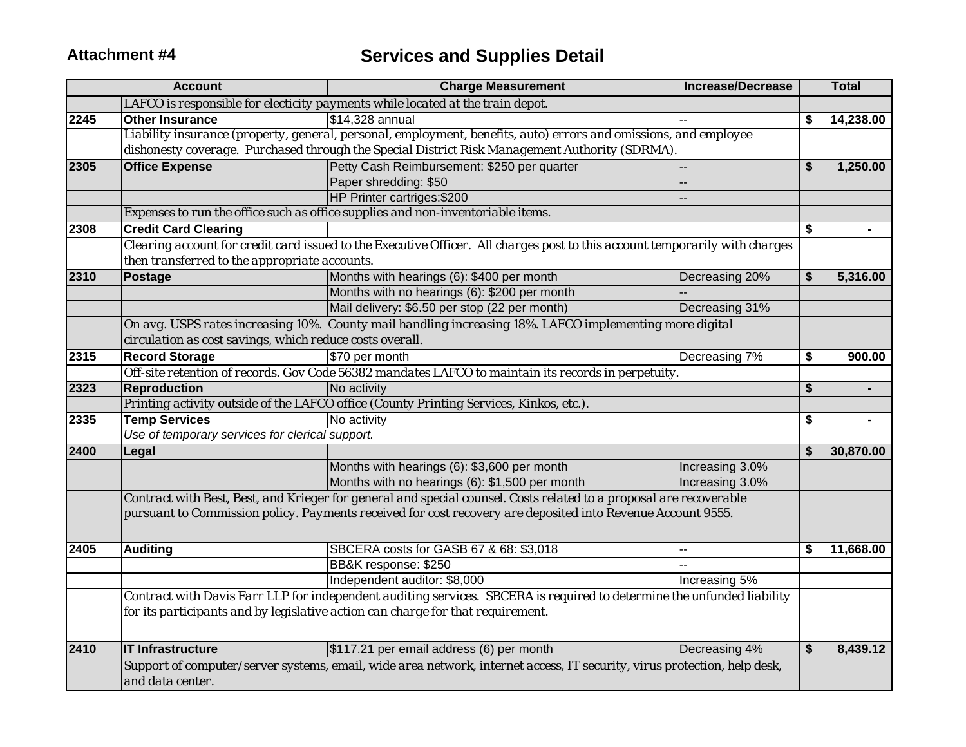|      | <b>Account</b>                                                                                                           | <b>Charge Measurement</b>                                                                                                   | <b>Increase/Decrease</b> |    | <b>Total</b>   |  |  |  |  |
|------|--------------------------------------------------------------------------------------------------------------------------|-----------------------------------------------------------------------------------------------------------------------------|--------------------------|----|----------------|--|--|--|--|
|      |                                                                                                                          | LAFCO is responsible for electicity payments while located at the train depot.                                              |                          |    |                |  |  |  |  |
| 2245 | <b>Other Insurance</b>                                                                                                   | $\overline{\$14,328}$ annual                                                                                                |                          | \$ | 14,238.00      |  |  |  |  |
|      |                                                                                                                          | Liability insurance (property, general, personal, employment, benefits, auto) errors and omissions, and employee            |                          |    |                |  |  |  |  |
|      |                                                                                                                          | dishonesty coverage. Purchased through the Special District Risk Management Authority (SDRMA).                              |                          |    |                |  |  |  |  |
| 2305 | <b>Office Expense</b>                                                                                                    | Petty Cash Reimbursement: \$250 per quarter                                                                                 |                          | \$ | 1,250.00       |  |  |  |  |
|      |                                                                                                                          | Paper shredding: \$50                                                                                                       |                          |    |                |  |  |  |  |
|      |                                                                                                                          | HP Printer cartriges: \$200                                                                                                 |                          |    |                |  |  |  |  |
|      |                                                                                                                          | Expenses to run the office such as office supplies and non-inventoriable items.                                             |                          |    |                |  |  |  |  |
| 2308 | <b>Credit Card Clearing</b>                                                                                              |                                                                                                                             |                          | \$ |                |  |  |  |  |
|      |                                                                                                                          | Clearing account for credit card issued to the Executive Officer. All charges post to this account temporarily with charges |                          |    |                |  |  |  |  |
|      | then transferred to the appropriate accounts.                                                                            |                                                                                                                             |                          |    |                |  |  |  |  |
| 2310 | <b>Postage</b>                                                                                                           | Months with hearings (6): \$400 per month                                                                                   | Decreasing 20%           | \$ | 5,316.00       |  |  |  |  |
|      |                                                                                                                          | Months with no hearings (6): \$200 per month                                                                                |                          |    |                |  |  |  |  |
|      |                                                                                                                          | Mail delivery: \$6.50 per stop (22 per month)                                                                               | Decreasing 31%           |    |                |  |  |  |  |
|      |                                                                                                                          | On avg. USPS rates increasing 10%. County mail handling increasing 18%. LAFCO implementing more digital                     |                          |    |                |  |  |  |  |
|      | circulation as cost savings, which reduce costs overall.                                                                 |                                                                                                                             |                          |    |                |  |  |  |  |
| 2315 | <b>Record Storage</b>                                                                                                    | \$70 per month                                                                                                              | Decreasing 7%            | \$ | 900.00         |  |  |  |  |
|      |                                                                                                                          | Off-site retention of records. Gov Code 56382 mandates LAFCO to maintain its records in perpetuity.                         |                          |    |                |  |  |  |  |
| 2323 | <b>Reproduction</b>                                                                                                      | No activity                                                                                                                 |                          | \$ |                |  |  |  |  |
|      |                                                                                                                          | Printing activity outside of the LAFCO office (County Printing Services, Kinkos, etc.).                                     |                          |    |                |  |  |  |  |
| 2335 | <b>Temp Services</b>                                                                                                     | No activity                                                                                                                 |                          | \$ | $\blacksquare$ |  |  |  |  |
|      | Use of temporary services for clerical support.                                                                          |                                                                                                                             |                          |    |                |  |  |  |  |
| 2400 | Legal                                                                                                                    |                                                                                                                             |                          | \$ | 30,870.00      |  |  |  |  |
|      |                                                                                                                          | Months with hearings (6): \$3,600 per month                                                                                 | Increasing 3.0%          |    |                |  |  |  |  |
|      |                                                                                                                          | Months with no hearings (6): \$1,500 per month                                                                              | Increasing 3.0%          |    |                |  |  |  |  |
|      |                                                                                                                          | Contract with Best, Best, and Krieger for general and special counsel. Costs related to a proposal are recoverable          |                          |    |                |  |  |  |  |
|      |                                                                                                                          | pursuant to Commission policy. Payments received for cost recovery are deposited into Revenue Account 9555.                 |                          |    |                |  |  |  |  |
|      |                                                                                                                          |                                                                                                                             |                          |    |                |  |  |  |  |
| 2405 | <b>Auditing</b>                                                                                                          | SBCERA costs for GASB 67 & 68: \$3,018                                                                                      |                          | \$ | 11,668.00      |  |  |  |  |
|      |                                                                                                                          | BB&K response: \$250                                                                                                        |                          |    |                |  |  |  |  |
|      |                                                                                                                          | Independent auditor: \$8,000                                                                                                | Increasing 5%            |    |                |  |  |  |  |
|      |                                                                                                                          | Contract with Davis Farr LLP for independent auditing services. SBCERA is required to determine the unfunded liability      |                          |    |                |  |  |  |  |
|      |                                                                                                                          | for its participants and by legislative action can charge for that requirement.                                             |                          |    |                |  |  |  |  |
|      |                                                                                                                          |                                                                                                                             |                          |    |                |  |  |  |  |
|      |                                                                                                                          |                                                                                                                             |                          |    |                |  |  |  |  |
| 2410 | <b>IT Infrastructure</b>                                                                                                 | \$117.21 per email address (6) per month                                                                                    | Decreasing 4%            | \$ | 8,439.12       |  |  |  |  |
|      | Support of computer/server systems, email, wide area network, internet access, IT security, virus protection, help desk, |                                                                                                                             |                          |    |                |  |  |  |  |
|      | and data center.                                                                                                         |                                                                                                                             |                          |    |                |  |  |  |  |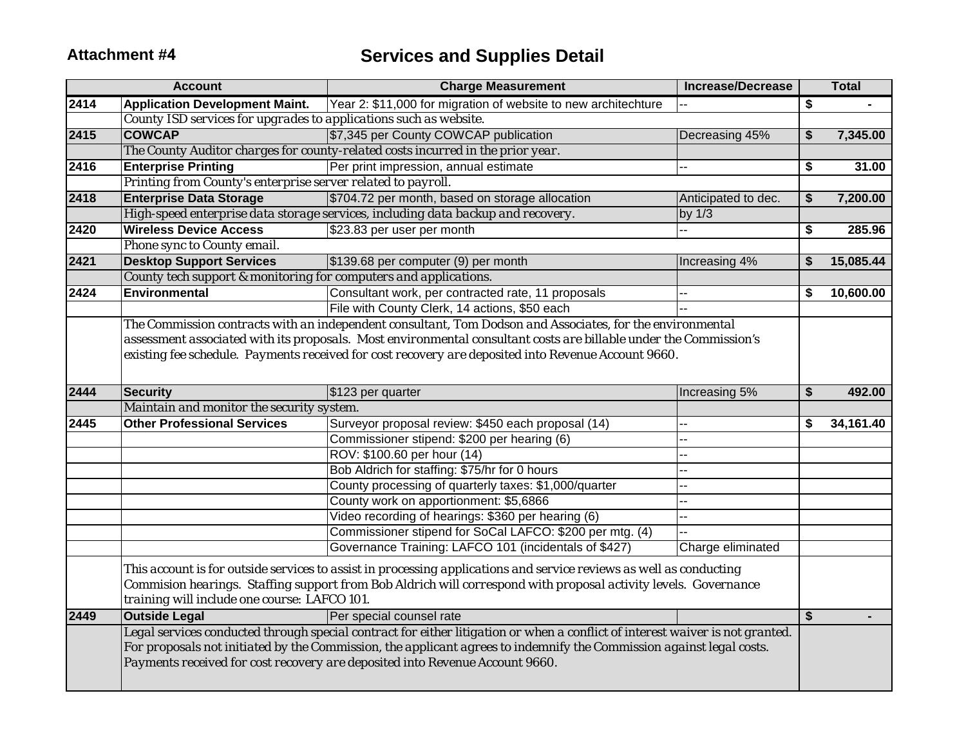|      | <b>Account</b>                                                    | <b>Charge Measurement</b>                                                                                                                                                                                                                                                                                                             | <b>Increase/Decrease</b> | <b>Total</b>    |
|------|-------------------------------------------------------------------|---------------------------------------------------------------------------------------------------------------------------------------------------------------------------------------------------------------------------------------------------------------------------------------------------------------------------------------|--------------------------|-----------------|
| 2414 | <b>Application Development Maint.</b>                             | Year 2: \$11,000 for migration of website to new architechture                                                                                                                                                                                                                                                                        |                          | \$              |
|      | County ISD services for upgrades to applications such as website. |                                                                                                                                                                                                                                                                                                                                       |                          |                 |
| 2415 | <b>COWCAP</b>                                                     | \$7,345 per County COWCAP publication                                                                                                                                                                                                                                                                                                 | Decreasing 45%           | \$<br>7,345.00  |
|      |                                                                   | The County Auditor charges for county-related costs incurred in the prior year.                                                                                                                                                                                                                                                       |                          |                 |
| 2416 | <b>Enterprise Printing</b>                                        | Per print impression, annual estimate                                                                                                                                                                                                                                                                                                 | ш.                       | \$<br>31.00     |
|      | Printing from County's enterprise server related to payroll.      |                                                                                                                                                                                                                                                                                                                                       |                          |                 |
| 2418 | <b>Enterprise Data Storage</b>                                    | \$704.72 per month, based on storage allocation                                                                                                                                                                                                                                                                                       | Anticipated to dec.      | \$<br>7,200.00  |
|      |                                                                   | High-speed enterprise data storage services, including data backup and recovery.                                                                                                                                                                                                                                                      | by $1/3$                 |                 |
| 2420 | <b>Wireless Device Access</b>                                     | \$23.83 per user per month                                                                                                                                                                                                                                                                                                            |                          | \$<br>285.96    |
|      | Phone sync to County email.                                       |                                                                                                                                                                                                                                                                                                                                       |                          |                 |
| 2421 | <b>Desktop Support Services</b>                                   | \$139.68 per computer (9) per month                                                                                                                                                                                                                                                                                                   | Increasing 4%            | \$<br>15,085.44 |
|      | County tech support & monitoring for computers and applications.  |                                                                                                                                                                                                                                                                                                                                       |                          |                 |
| 2424 | Environmental                                                     | Consultant work, per contracted rate, 11 proposals                                                                                                                                                                                                                                                                                    |                          | \$<br>10,600.00 |
|      |                                                                   | File with County Clerk, 14 actions, \$50 each                                                                                                                                                                                                                                                                                         |                          |                 |
|      |                                                                   | The Commission contracts with an independent consultant, Tom Dodson and Associates, for the environmental<br>assessment associated with its proposals. Most environmental consultant costs are billable under the Commission's<br>existing fee schedule. Payments received for cost recovery are deposited into Revenue Account 9660. |                          |                 |
| 2444 | <b>Security</b>                                                   | \$123 per quarter                                                                                                                                                                                                                                                                                                                     | Increasing 5%            | \$<br>492.00    |
|      | Maintain and monitor the security system.                         |                                                                                                                                                                                                                                                                                                                                       |                          |                 |
| 2445 | <b>Other Professional Services</b>                                | Surveyor proposal review: \$450 each proposal (14)                                                                                                                                                                                                                                                                                    |                          | \$<br>34,161.40 |
|      |                                                                   | Commissioner stipend: \$200 per hearing (6)                                                                                                                                                                                                                                                                                           |                          |                 |
|      |                                                                   | ROV: \$100.60 per hour (14)                                                                                                                                                                                                                                                                                                           |                          |                 |
|      |                                                                   | Bob Aldrich for staffing: \$75/hr for 0 hours                                                                                                                                                                                                                                                                                         |                          |                 |
|      |                                                                   | County processing of quarterly taxes: \$1,000/quarter                                                                                                                                                                                                                                                                                 |                          |                 |
|      |                                                                   | County work on apportionment: \$5,6866                                                                                                                                                                                                                                                                                                |                          |                 |
|      |                                                                   | Video recording of hearings: \$360 per hearing (6)                                                                                                                                                                                                                                                                                    |                          |                 |
|      |                                                                   | Commissioner stipend for SoCal LAFCO: \$200 per mtg. (4)                                                                                                                                                                                                                                                                              |                          |                 |
|      |                                                                   | Governance Training: LAFCO 101 (incidentals of \$427)                                                                                                                                                                                                                                                                                 | Charge eliminated        |                 |
|      | training will include one course: LAFCO 101.                      | This account is for outside services to assist in processing applications and service reviews as well as conducting<br>Commision hearings. Staffing support from Bob Aldrich will correspond with proposal activity levels. Governance                                                                                                |                          |                 |
| 2449 | <b>Outside Legal</b>                                              | Per special counsel rate                                                                                                                                                                                                                                                                                                              |                          | \$              |
|      |                                                                   | Legal services conducted through special contract for either litigation or when a conflict of interest waiver is not granted.<br>For proposals not initiated by the Commission, the applicant agrees to indemnify the Commission against legal costs.<br>Payments received for cost recovery are deposited into Revenue Account 9660. |                          |                 |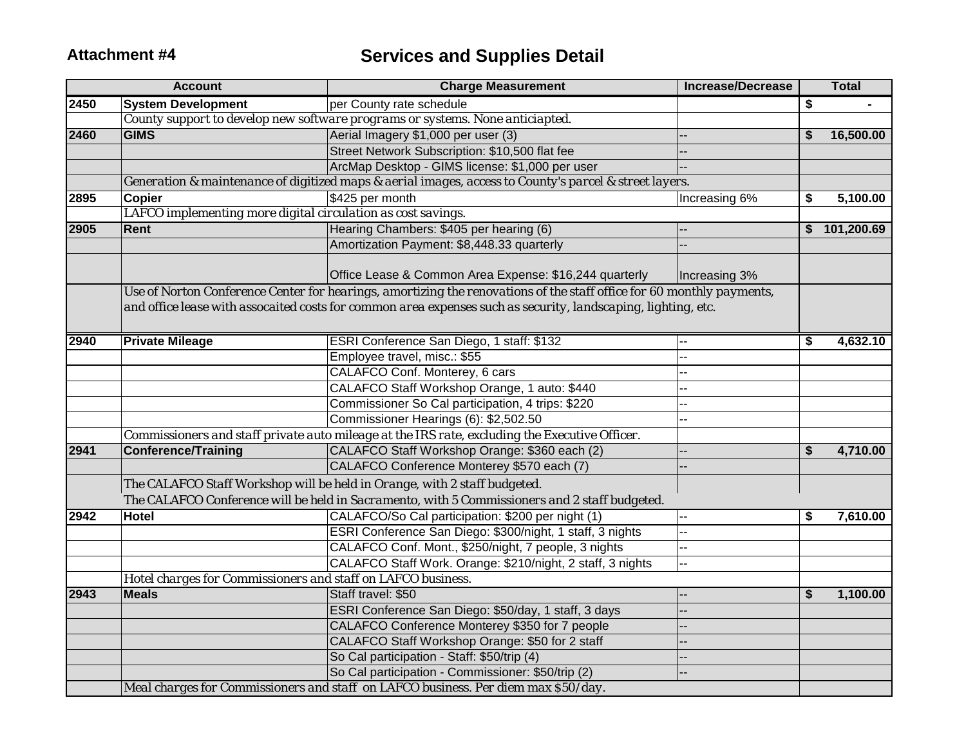|      | <b>Account</b>                                               | <b>Charge Measurement</b>                                                                                             | <b>Increase/Decrease</b> | <b>Total</b>     |
|------|--------------------------------------------------------------|-----------------------------------------------------------------------------------------------------------------------|--------------------------|------------------|
| 2450 | <b>System Development</b>                                    | per County rate schedule                                                                                              |                          | \$               |
|      |                                                              | County support to develop new software programs or systems. None anticiapted.                                         |                          |                  |
| 2460 | <b>GIMS</b>                                                  | Aerial Imagery \$1,000 per user (3)                                                                                   |                          | \$<br>16,500.00  |
|      |                                                              | Street Network Subscription: \$10,500 flat fee                                                                        | --                       |                  |
|      |                                                              | ArcMap Desktop - GIMS license: \$1,000 per user                                                                       |                          |                  |
|      |                                                              | Generation & maintenance of digitized maps & aerial images, access to County's parcel & street layers.                |                          |                  |
| 2895 | Copier                                                       | \$425 per month                                                                                                       | Increasing 6%            | \$<br>5,100.00   |
|      | LAFCO implementing more digital circulation as cost savings. |                                                                                                                       |                          |                  |
| 2905 | Rent                                                         | Hearing Chambers: \$405 per hearing (6)                                                                               |                          | \$<br>101,200.69 |
|      |                                                              | Amortization Payment: \$8,448.33 quarterly                                                                            |                          |                  |
|      |                                                              | Office Lease & Common Area Expense: \$16,244 quarterly                                                                | Increasing 3%            |                  |
|      |                                                              | Use of Norton Conference Center for hearings, amortizing the renovations of the staff office for 60 monthly payments, |                          |                  |
|      |                                                              | and office lease with assocaited costs for common area expenses such as security, landscaping, lighting, etc.         |                          |                  |
|      |                                                              |                                                                                                                       |                          |                  |
| 2940 | <b>Private Mileage</b>                                       | ESRI Conference San Diego, 1 staff: \$132                                                                             |                          | \$<br>4,632.10   |
|      |                                                              | Employee travel, misc.: \$55                                                                                          | --                       |                  |
|      |                                                              | CALAFCO Conf. Monterey, 6 cars                                                                                        | -−                       |                  |
|      |                                                              | CALAFCO Staff Workshop Orange, 1 auto: \$440                                                                          | --                       |                  |
|      |                                                              | Commissioner So Cal participation, 4 trips: \$220                                                                     | --                       |                  |
|      |                                                              | Commissioner Hearings (6): \$2,502.50                                                                                 | --                       |                  |
|      |                                                              | Commissioners and staff private auto mileage at the IRS rate, excluding the Executive Officer.                        |                          |                  |
| 2941 | <b>Conference/Training</b>                                   | CALAFCO Staff Workshop Orange: \$360 each (2)                                                                         |                          | \$<br>4,710.00   |
|      |                                                              | CALAFCO Conference Monterey \$570 each (7)                                                                            |                          |                  |
|      |                                                              | The CALAFCO Staff Workshop will be held in Orange, with 2 staff budgeted.                                             |                          |                  |
|      |                                                              | The CALAFCO Conference will be held in Sacramento, with 5 Commissioners and 2 staff budgeted.                         |                          |                  |
| 2942 | <b>Hotel</b>                                                 | CALAFCO/So Cal participation: \$200 per night (1)                                                                     |                          | \$<br>7,610.00   |
|      |                                                              | ESRI Conference San Diego: \$300/night, 1 staff, 3 nights                                                             | --                       |                  |
|      |                                                              | CALAFCO Conf. Mont., \$250/night, 7 people, 3 nights                                                                  | --                       |                  |
|      |                                                              | CALAFCO Staff Work. Orange: \$210/night, 2 staff, 3 nights                                                            | -−                       |                  |
|      | Hotel charges for Commissioners and staff on LAFCO business. |                                                                                                                       |                          |                  |
| 2943 | <b>Meals</b>                                                 | Staff travel: \$50                                                                                                    | --                       | \$<br>1,100.00   |
|      |                                                              | ESRI Conference San Diego: \$50/day, 1 staff, 3 days                                                                  | --                       |                  |
|      |                                                              | CALAFCO Conference Monterey \$350 for 7 people                                                                        | --                       |                  |
|      |                                                              | CALAFCO Staff Workshop Orange: \$50 for 2 staff                                                                       |                          |                  |
|      |                                                              | So Cal participation - Staff: \$50/trip (4)                                                                           |                          |                  |
|      |                                                              | So Cal participation - Commissioner: \$50/trip (2)                                                                    | --                       |                  |
|      |                                                              | Meal charges for Commissioners and staff on LAFCO business. Per diem max \$50/day.                                    |                          |                  |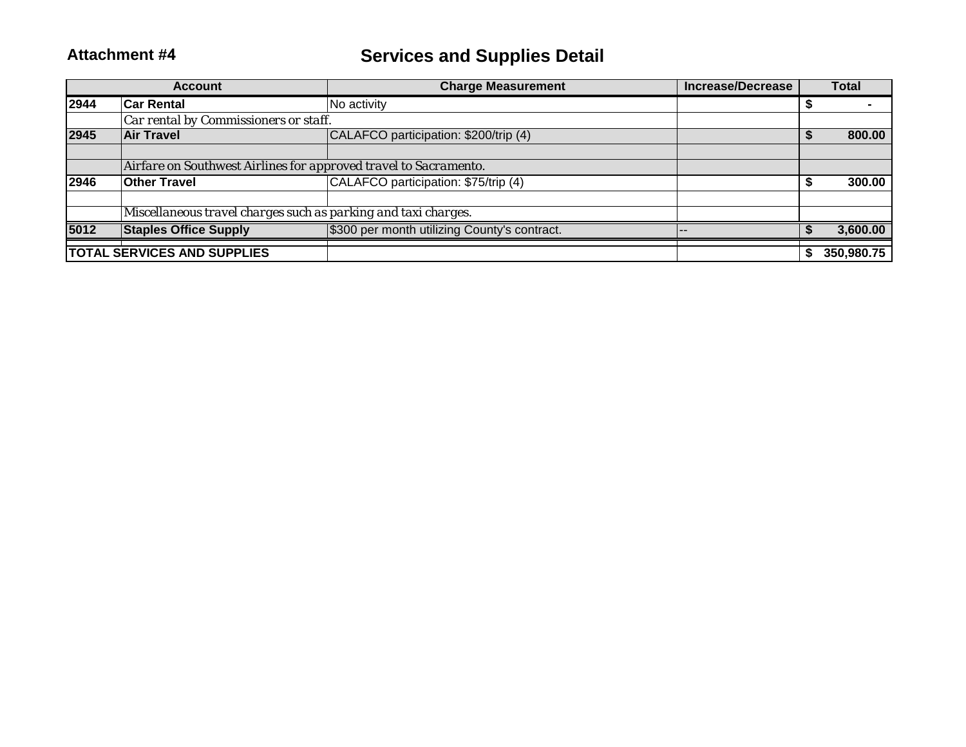|      | <b>Account</b>                                                   | <b>Charge Measurement</b>                    | <b>Increase/Decrease</b> | <b>Total</b> |
|------|------------------------------------------------------------------|----------------------------------------------|--------------------------|--------------|
| 2944 | <b>Car Rental</b>                                                | No activity                                  |                          |              |
|      | Car rental by Commissioners or staff.                            |                                              |                          |              |
| 2945 | <b>Air Travel</b>                                                | CALAFCO participation: \$200/trip (4)        |                          | 800.00       |
|      |                                                                  |                                              |                          |              |
|      | Airfare on Southwest Airlines for approved travel to Sacramento. |                                              |                          |              |
| 2946 | <b>Other Travel</b>                                              | CALAFCO participation: \$75/trip (4)         |                          | 300.00       |
|      |                                                                  |                                              |                          |              |
|      | Miscellaneous travel charges such as parking and taxi charges.   |                                              |                          |              |
| 5012 | <b>Staples Office Supply</b>                                     | \$300 per month utilizing County's contract. |                          | 3,600.00     |
|      | <b>TOTAL SERVICES AND SUPPLIES</b>                               |                                              |                          | 350,980.75   |